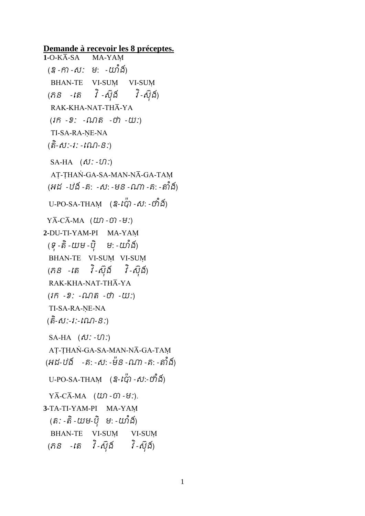**Demande à recevoir les 8 préceptes.** 1-O-K**A**-SA MA-YAM (ឧ -កា -ស: ម: -យាំង) BHAN-TE VI-SUM VI-SUM (ភ $s$  -តេ វិ-ស៊ុង៍ វិ-ស៊ុង៍) RAK-KHA-NAT-THĀ-YA  $(i\hat{n} - 2)$ :  $-i\lambda/\hat{n}$  - ហ៊ - យ:) TI-SA-RA-NE-NA (តិ-សី:-វ: -ពណ-ន:) SA-HA  $(\delta \mathcal{V}: -\mathcal{U})$ :) AT-THAN-GA-SA-MAN-NĀ-GA-TAM (អដ -ឋង៍ -គ: -ស: -មន -ណា -គ: -តាំង) U-PO-SA-THAM  $(2-t\ddot{q})$  -ស: - ហំងាំ  $Y\overline{A}-C\overline{A}-MA$  ( $U\Omega$ - $\widehat{U}$ ) - $U$ :) **2-**DU-TI-YAM-PI MA-YAþ (ទុ -តំ -យម -បុ ម: -យាង) BHAN-TE VI-SUM VI-SUM (ភ $S$  -តេ វិ-ស៊ $5$  វិ-ស៊ំង៍) RAK-KHA-NAT-THĀ-YA  $(i\hat{n} - 2) - i\hat{n} - i\hat{n} - i\hat{u}$ : TI-SA-RA-NE-NA (េិ -សៈ-រៈ-តណ-នៈ) SA-HA  $(\delta \mathcal{V} : -\mathcal{V} \mathcal{V})$ AT-THAN-GA-SA-MAN-NĀ-GA-TAM (អដ-ឋង៍ -គ: -ស: -ម៉ន -ណា -គ: -តាំង) U-PO-SA-THAM  $(2-\iota\ddot{G}) - \iota\ddot{G}$ :- ហឹង៍)  $Y\overline{A}-C\overline{A}-MA$  ( $\omega$ ) - $\omega$ ) - $\omega$ ). **3-**TA-TI-YAM-PI MA-YAþ (តិ: -តិ -យម-បុ ម: -យាង) BHAN-TE VI-SUM VI-SUM (ភ $S$  -តេ វិ-ស៊ុង៍ វិ-ស៊ុង៍)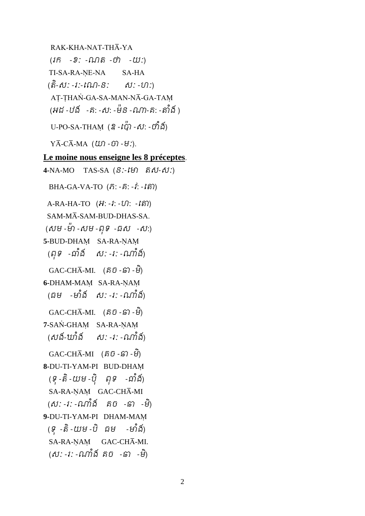RAK-KHA-NAT-THĀ-YA  $(1\hat{n} - 2)$ :  $\Omega \Omega \hat{n} - 0$  - $(1\hat{n})$ : TI-SA-RA-NE-NA SA-HA (តិ-សិ: -រ:-ណេ-និ: សិ: -ហ:) AT-THAN-GA-SA-MAN-NĀ-GA-TAM (អដ -ឋង - គ: -ស: -ម៉ន -ណា-គ: -តាំង ) U-PO-SA-THAM (ឧ - $\iota_G^{\nu}$ ) -ស: -ហំងំា  $Y\overline{A}-C\overline{A}-MA$  ( $U\Omega -U\Omega -H$ :).

## **Le moine nous enseigne les 8 préceptes**.

**4-**NA-MO TAS-SA (នៈ-តោ េស-សៈ) BHA-GA-VA-TO  $(\hat{n}$ : - $\hat{n}$ : - $\hat{i}$ : - $\hat{i}$ s)  $A-RA-HA-TO$  (អ: -*i*: - $U$ ): - $\hat{m}$ ) SAM-MĀ-SAM-BUD-DHAS-SA. (សម -ម៉ា -សម -ពទ -ជស -ស:) **5-**BUD-DHAM SA-RA-ŅAM (ពុទ -ជាំង ស: -រ: -ណាំង៍)  $GAC\text{-CH}\overline{A}\text{-MI}.$  (គិបិ -ទ៊ា -មី) **6-DHAM-MAM SA-RA-NAM** (ធម -មាំង ស: -រ: -ណាំង)  $GAC\text{-CH}\bar{A}\text{-MI}.$  (គិបិ -្រ) -មី) **7-SAN-GHAM SA-RA-NAM** (សង៍-ឃាំង៍ ស: -រ: -ណាំង៍)  $GAC\text{-CH}\bar{A}\text{-MI}$  (គិបិ -ទ៊ា -មី) **8-**DU-TI-YAM-PI BUD-DHAþ (ទុ-តំ-យម-បុ ពុទ -ជាង) SA-RA-NAM GAC-CHA-MI (ស: -រ: -ណាងំ គិបិ -ឆា -ម) **9-**DU-TI-YAM-PI DHAM-MAþ (ទូ -តំ -យម -ប ជម -មាង) SA-RA-NAM GAC-CHA-MI. (*ស*: -*រ*: -ណាង គចំ - ឆា -ម<sub>)</sub>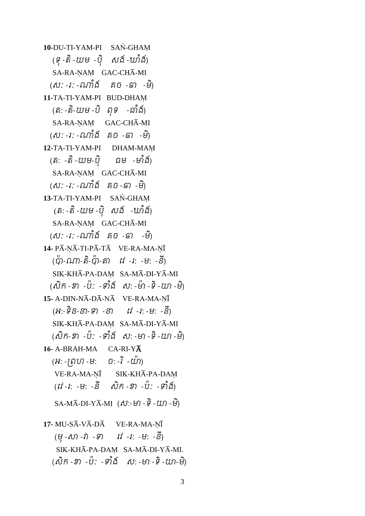**10-**DU-TI-YAM-PI SAN-GHAM (ទុ -តិ -យម -ប៊ិ សង៍ -ឃាំង៍) SA-RA-NAM GAC-CHA-MI (សៈ -រៈ -ណាងំា គច -ឆា -មិ ) **11-**TA-TI-YAM-PI BUD-DHAþ (តៈ - តិ-យម -បិ ពុទ -ជាំង) SA-RA-NAM GAC-CHĀ-MI (សៈ -រៈ -ណាងំា គច -ឆា -មិ ) **12-**TA-TI-YAM-PI DHAM-MAþ (តិ: -តិ -យម-បុ ជម -មាំងា SA-RA-NAM GAC-CHA-MI (ស: -វ: -ណាងំ គិបិ -ឆា -ម) **13-TA-TI-YAM-PI SAN-GHAM** (តិ: -តិ -យម -ប៊ុ សង៍ -ឃាំង៍) SA-RA-ŅAŅ GAC-CHĀ-MI (ស: -រ: -ណាងំ គំបំ -ឆា -ម) **14-** PĀ-NĀ-TI-PĀ-TĀ VE-RA-MA-NĪ (ប៉ា-ណា-តិ-ប៉ា-តា វេ -រៈ -មៈ -នី) SIK-KHĀ-PA-DAM SA-MĀ-DI-YĀ-MI (សំកំ -ខា -បៈ -ទាំង សៈ -មា -ទិ -យា -ម) 15- A-DIN-NĀ-DĀ-NĀ<br>VE-RA-MA-NĪ (អ:-ទ $ិន-នា-ទា -នា ព -រ: -ម: -ន)$ SIK-KHĀ-PA-DAM SA-MĀ-DI-YĀ-MI (សក៌-ខា -ប: -ទាងំ ស:-មា-ទ-យា-ម) 16- A-BRAH-MA CA-RI-YA (អ: -ព្រហ -ម: ច: -រ -យា) VE-RA-MA-NĪ SIK-KHĀ-PA-DAM (វ1 -1: -ម: -ន សក -ខា -ប: -ទាង)  $\overline{\text{SA-MA-DI-YA}}$ -MI  $(\textit{M}:\textit{H}-\textit{H}-\textit{L})$ **17-** MU-SĀ-VĀ-DĀ VE-RA-MA-NĪ (ម៊ុ -សា -វា -ទ តវ -រ: -ម: -នី )  $SIK-KH\overline{A}-PA-DAM$  SA-M $\overline{A}-DI-Y\overline{A}-MI$ . (សក៌ -ខា -ប៉: -ទាំង ស: -មា -ទិ -យា-ម)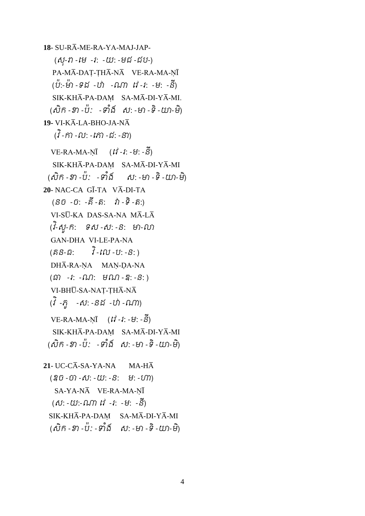18- SU-RA-ME-RA-YA-MAJ-JAP- $($ ស្- $n$  -មេ -រ: -យ: -មជ-ជប-) PA-MĀ-DAT-THĀ-NĀ VE-RA-MA-NĪ (ប៉ោ:-ោ៉ោ -ទដ -ឋា -ណា តវ -រ: -ម: -នី )  $SIK-KH\overline{A}-PA-DAM$   $SA-M\overline{A}-DI-Y\overline{A}-MI$ . (សក៌ -ខា -បៈ - ទាំង សៈ -មា -ទិ -យា-ម) **19-** VI-KA-LA-BHO-JA-NA  $({\overrightarrow{i}} - {\widehat{n}}) - \widehat{\omega}: -{\widehat{n}} \widehat{n} - {\widehat{\omega}}: -S$ )  $VE-RA-MA-N\overline{I}$  ( $\vec{N}$  -  $\hat{i}$ : - $\vec{v}$ : - $S$ )  $SIK-KH\overline{A}-PA-DAM$   $SA-M\overline{A}-DI-Y\overline{A}-MI$  $( \delta \hat{\delta} - \hat{\delta} - \hat{\delta} - \hat{\delta} - \hat{\delta} - \hat{\delta} - \hat{\delta} - \hat{\delta} - \hat{\delta} - \hat{\delta} - \hat{\delta} - \hat{\delta} - \hat{\delta} - \hat{\delta} - \hat{\delta} - \hat{\delta} - \hat{\delta} - \hat{\delta} - \hat{\delta} - \hat{\delta} - \hat{\delta} - \hat{\delta} - \hat{\delta} - \hat{\delta} - \hat{\delta} - \hat{\delta} - \hat{\delta} - \hat{\delta} - \hat{\delta} - \hat{\delta} - \hat{\delta} - \hat{\delta} - \hat{\delta} - \hat{\delta} - \hat{\delta} - \hat{\delta} -$ 20- NAC-CA GĪ-TA VĀ-DI-TA (និប៑ -ប៑: -ឝ៑ -ត៑: *រ*ា -ទ -ត៑:) VI-SŪ-KA DAS-SA-NA MĀ-LĀ (វ-ិសូ-ក: ទស -ស: -ន: ោ-លា GAN-DHA VI-LE-PA-NA (គិន-ធិ:  $\overline{\mathfrak{f}}$ - $\mathfrak{w}$ -ប:-ន:) DHĀ-RA-NA MAN-DA-NA  $(\widehat{\omega})$  -*i*: - $\widehat{\omega}$ : ម $\widehat{\omega}$ - $\widehat{\alpha}$ : - $S$ :) VI-BHŪ-SA-NAT-THĀ-NĀ (វ ិ-ភូ -ស: -នដ -ឋា -ណា)  $VE-RA-MA-N\overline{I}$  ( $\overline{I}$  *- i*: - $\overline{v}$ : - $S$ ) SIK-KHĀ-PA-DAM SA-MĀ-DI-YĀ-MI (សក៌ -ខា -បៈ - ទាំង សៈ -មា -ទិ -យា-ម)  $21$ - UC-C $\overline{A}$ -SA-YA-NA MA-H $\overline{A}$  (ឧច -ចា -ស: -យ: -ន: ម: -ហា) SA-YA-NA VE-RA-MA-NĪ

 (ស: -យ:-ណាតវ -រ: -ម: -នី ) SIK-KHĀ-PA-DAM SA-MĀ-DI-YĀ-MI

(សក៌ -ខា -បៈ -ទាំង សៈ -មា -ទិ -យា-ម)